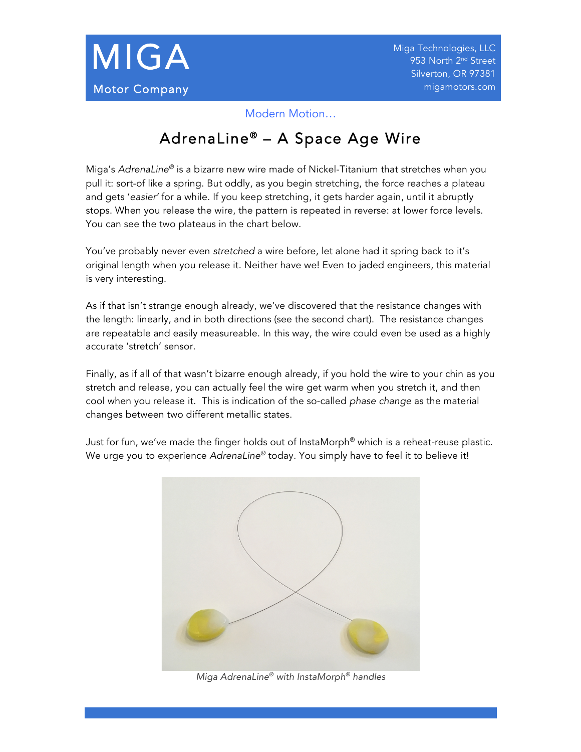

Modern Motion…

## AdrenaLine® - A Space Age Wire

Miga's *AdrenaLine®* is a bizarre new wire made of Nickel-Titanium that stretches when you pull it: sort-of like a spring. But oddly, as you begin stretching, the force reaches a plateau and gets '*easier'* for a while. If you keep stretching, it gets harder again, until it abruptly stops. When you release the wire, the pattern is repeated in reverse: at lower force levels. You can see the two plateaus in the chart below.

You've probably never even *stretched* a wire before, let alone had it spring back to it's original length when you release it. Neither have we! Even to jaded engineers, this material is very interesting.

As if that isn't strange enough already, we've discovered that the resistance changes with the length: linearly, and in both directions (see the second chart). The resistance changes are repeatable and easily measureable. In this way, the wire could even be used as a highly accurate 'stretch' sensor.

Finally, as if all of that wasn't bizarre enough already, if you hold the wire to your chin as you stretch and release, you can actually feel the wire get warm when you stretch it, and then cool when you release it. This is indication of the so-called *phase change* as the material changes between two different metallic states.

Just for fun, we've made the finger holds out of InstaMorph® which is a reheat-reuse plastic. We urge you to experience *AdrenaLine®* today. You simply have to feel it to believe it!



*Miga AdrenaLine® with InstaMorph® handles*